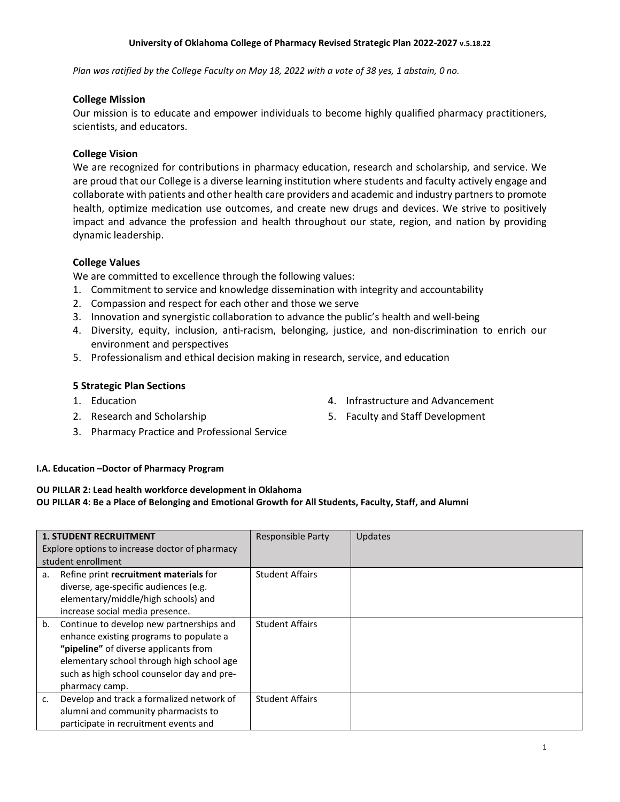#### **University of Oklahoma College of Pharmacy Revised Strategic Plan 2022-2027 v.5.18.22**

*Plan was ratified by the College Faculty on May 18, 2022 with a vote of 38 yes, 1 abstain, 0 no.*

#### **College Mission**

Our mission is to educate and empower individuals to become highly qualified pharmacy practitioners, scientists, and educators.

## **College Vision**

We are recognized for contributions in pharmacy education, research and scholarship, and service. We are proud that our College is a diverse learning institution where students and faculty actively engage and collaborate with patients and other health care providers and academic and industry partners to promote health, optimize medication use outcomes, and create new drugs and devices. We strive to positively impact and advance the profession and health throughout our state, region, and nation by providing dynamic leadership.

#### **College Values**

We are committed to excellence through the following values:

- 1. Commitment to service and knowledge dissemination with integrity and accountability
- 2. Compassion and respect for each other and those we serve
- 3. Innovation and synergistic collaboration to advance the public's health and well-being
- 4. Diversity, equity, inclusion, anti-racism, belonging, justice, and non-discrimination to enrich our environment and perspectives
- 5. Professionalism and ethical decision making in research, service, and education

#### **5 Strategic Plan Sections**

- 1. Education
- 2. Research and Scholarship
- 4. Infrastructure and Advancement
- 5. Faculty and Staff Development
- 3. Pharmacy Practice and Professional Service

#### **I.A. Education –Doctor of Pharmacy Program**

## **OU PILLAR 2: Lead health workforce development in Oklahoma OU PILLAR 4: Be a Place of Belonging and Emotional Growth for All Students, Faculty, Staff, and Alumni**

|    | <b>1. STUDENT RECRUITMENT</b>                  | <b>Responsible Party</b> | Updates |  |  |  |
|----|------------------------------------------------|--------------------------|---------|--|--|--|
|    | Explore options to increase doctor of pharmacy |                          |         |  |  |  |
|    | student enrollment                             |                          |         |  |  |  |
| a. | Refine print recruitment materials for         | <b>Student Affairs</b>   |         |  |  |  |
|    | diverse, age-specific audiences (e.g.          |                          |         |  |  |  |
|    | elementary/middle/high schools) and            |                          |         |  |  |  |
|    | increase social media presence.                |                          |         |  |  |  |
| b. | Continue to develop new partnerships and       | <b>Student Affairs</b>   |         |  |  |  |
|    | enhance existing programs to populate a        |                          |         |  |  |  |
|    | "pipeline" of diverse applicants from          |                          |         |  |  |  |
|    | elementary school through high school age      |                          |         |  |  |  |
|    | such as high school counselor day and pre-     |                          |         |  |  |  |
|    | pharmacy camp.                                 |                          |         |  |  |  |
| c. | Develop and track a formalized network of      | <b>Student Affairs</b>   |         |  |  |  |
|    | alumni and community pharmacists to            |                          |         |  |  |  |
|    | participate in recruitment events and          |                          |         |  |  |  |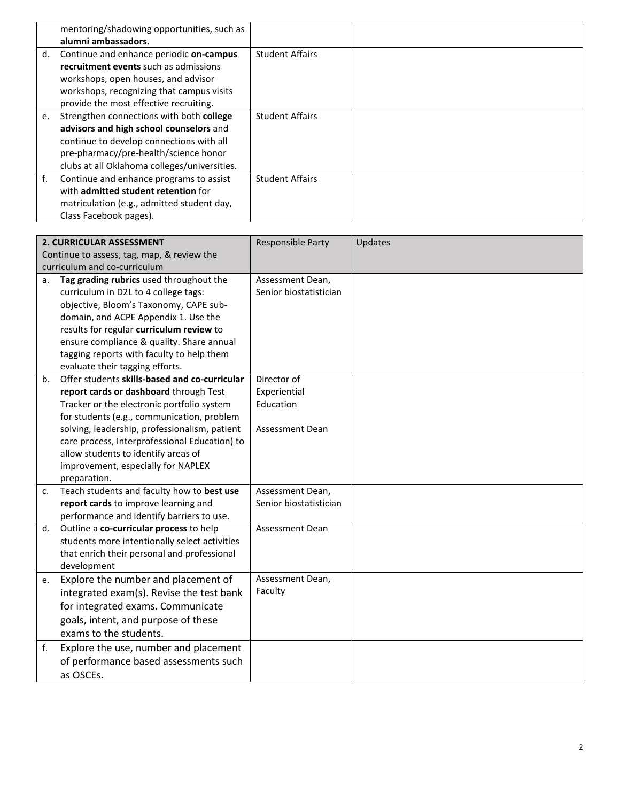|    | mentoring/shadowing opportunities, such as   |                        |  |
|----|----------------------------------------------|------------------------|--|
|    | alumni ambassadors.                          |                        |  |
| d. | Continue and enhance periodic on-campus      | <b>Student Affairs</b> |  |
|    | recruitment events such as admissions        |                        |  |
|    | workshops, open houses, and advisor          |                        |  |
|    | workshops, recognizing that campus visits    |                        |  |
|    | provide the most effective recruiting.       |                        |  |
| e. | Strengthen connections with both college     | <b>Student Affairs</b> |  |
|    | advisors and high school counselors and      |                        |  |
|    | continue to develop connections with all     |                        |  |
|    | pre-pharmacy/pre-health/science honor        |                        |  |
|    | clubs at all Oklahoma colleges/universities. |                        |  |
|    | Continue and enhance programs to assist      | <b>Student Affairs</b> |  |
|    | with admitted student retention for          |                        |  |
|    | matriculation (e.g., admitted student day,   |                        |  |
|    | Class Facebook pages).                       |                        |  |

|                | 2. CURRICULAR ASSESSMENT                      | <b>Responsible Party</b> | Updates |
|----------------|-----------------------------------------------|--------------------------|---------|
|                | Continue to assess, tag, map, & review the    |                          |         |
|                | curriculum and co-curriculum                  |                          |         |
| a.             | Tag grading rubrics used throughout the       | Assessment Dean,         |         |
|                | curriculum in D2L to 4 college tags:          | Senior biostatistician   |         |
|                | objective, Bloom's Taxonomy, CAPE sub-        |                          |         |
|                | domain, and ACPE Appendix 1. Use the          |                          |         |
|                | results for regular curriculum review to      |                          |         |
|                | ensure compliance & quality. Share annual     |                          |         |
|                | tagging reports with faculty to help them     |                          |         |
|                | evaluate their tagging efforts.               |                          |         |
| b.             | Offer students skills-based and co-curricular | Director of              |         |
|                | report cards or dashboard through Test        | Experiential             |         |
|                | Tracker or the electronic portfolio system    | Education                |         |
|                | for students (e.g., communication, problem    |                          |         |
|                | solving, leadership, professionalism, patient | <b>Assessment Dean</b>   |         |
|                | care process, Interprofessional Education) to |                          |         |
|                | allow students to identify areas of           |                          |         |
|                | improvement, especially for NAPLEX            |                          |         |
|                | preparation.                                  |                          |         |
| c.             | Teach students and faculty how to best use    | Assessment Dean,         |         |
|                | report cards to improve learning and          | Senior biostatistician   |         |
|                | performance and identify barriers to use.     |                          |         |
| $\mathsf{d}$ . | Outline a co-curricular process to help       | <b>Assessment Dean</b>   |         |
|                | students more intentionally select activities |                          |         |
|                | that enrich their personal and professional   |                          |         |
|                | development                                   |                          |         |
| e.             | Explore the number and placement of           | Assessment Dean,         |         |
|                | integrated exam(s). Revise the test bank      | Faculty                  |         |
|                | for integrated exams. Communicate             |                          |         |
|                | goals, intent, and purpose of these           |                          |         |
|                | exams to the students.                        |                          |         |
| f.             | Explore the use, number and placement         |                          |         |
|                | of performance based assessments such         |                          |         |
|                | as OSCEs.                                     |                          |         |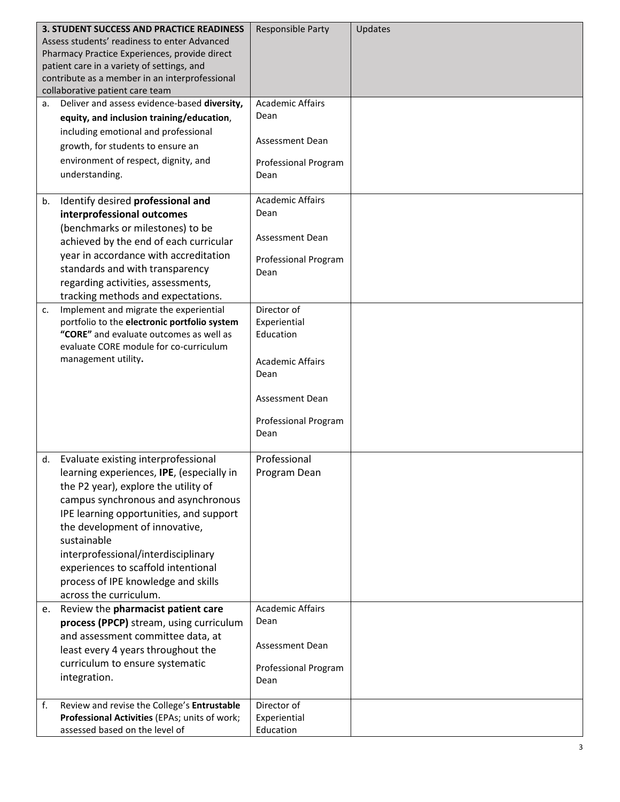|                                                | <b>3. STUDENT SUCCESS AND PRACTICE READINESS</b>                                        | <b>Responsible Party</b>  | Updates |
|------------------------------------------------|-----------------------------------------------------------------------------------------|---------------------------|---------|
|                                                | Assess students' readiness to enter Advanced                                            |                           |         |
|                                                | Pharmacy Practice Experiences, provide direct                                           |                           |         |
|                                                | patient care in a variety of settings, and                                              |                           |         |
| contribute as a member in an interprofessional |                                                                                         |                           |         |
|                                                | collaborative patient care team                                                         |                           |         |
| a.                                             | Deliver and assess evidence-based diversity,                                            | <b>Academic Affairs</b>   |         |
|                                                | equity, and inclusion training/education,                                               | Dean                      |         |
|                                                | including emotional and professional                                                    |                           |         |
|                                                | growth, for students to ensure an                                                       | Assessment Dean           |         |
|                                                | environment of respect, dignity, and                                                    | Professional Program      |         |
|                                                | understanding.                                                                          | Dean                      |         |
|                                                |                                                                                         |                           |         |
| b.                                             | Identify desired professional and                                                       | <b>Academic Affairs</b>   |         |
|                                                | interprofessional outcomes                                                              | Dean                      |         |
|                                                | (benchmarks or milestones) to be                                                        |                           |         |
|                                                | achieved by the end of each curricular                                                  | <b>Assessment Dean</b>    |         |
|                                                | year in accordance with accreditation                                                   |                           |         |
|                                                |                                                                                         | Professional Program      |         |
|                                                | standards and with transparency                                                         | Dean                      |         |
|                                                | regarding activities, assessments,                                                      |                           |         |
|                                                | tracking methods and expectations.                                                      |                           |         |
| c.                                             | Implement and migrate the experiential                                                  | Director of               |         |
|                                                | portfolio to the electronic portfolio system<br>"CORE" and evaluate outcomes as well as | Experiential<br>Education |         |
|                                                | evaluate CORE module for co-curriculum                                                  |                           |         |
|                                                | management utility.                                                                     |                           |         |
|                                                |                                                                                         | <b>Academic Affairs</b>   |         |
|                                                |                                                                                         | Dean                      |         |
|                                                |                                                                                         | Assessment Dean           |         |
|                                                |                                                                                         |                           |         |
|                                                |                                                                                         | Professional Program      |         |
|                                                |                                                                                         | Dean                      |         |
|                                                |                                                                                         |                           |         |
| d.                                             | Evaluate existing interprofessional                                                     | Professional              |         |
|                                                | learning experiences, IPE, (especially in                                               | Program Dean              |         |
|                                                | the P2 year), explore the utility of                                                    |                           |         |
|                                                | campus synchronous and asynchronous                                                     |                           |         |
|                                                | IPE learning opportunities, and support                                                 |                           |         |
|                                                | the development of innovative,                                                          |                           |         |
|                                                | sustainable                                                                             |                           |         |
|                                                | interprofessional/interdisciplinary                                                     |                           |         |
|                                                | experiences to scaffold intentional                                                     |                           |         |
|                                                | process of IPE knowledge and skills                                                     |                           |         |
|                                                | across the curriculum.                                                                  |                           |         |
|                                                | e. Review the pharmacist patient care                                                   | <b>Academic Affairs</b>   |         |
|                                                | process (PPCP) stream, using curriculum                                                 | Dean                      |         |
|                                                | and assessment committee data, at                                                       |                           |         |
|                                                | least every 4 years throughout the                                                      | Assessment Dean           |         |
|                                                | curriculum to ensure systematic                                                         |                           |         |
|                                                | integration.                                                                            | Professional Program      |         |
|                                                |                                                                                         | Dean                      |         |
| f.                                             | Review and revise the College's Entrustable                                             | Director of               |         |
|                                                | Professional Activities (EPAs; units of work;                                           | Experiential              |         |
|                                                | assessed based on the level of                                                          | Education                 |         |
|                                                |                                                                                         |                           |         |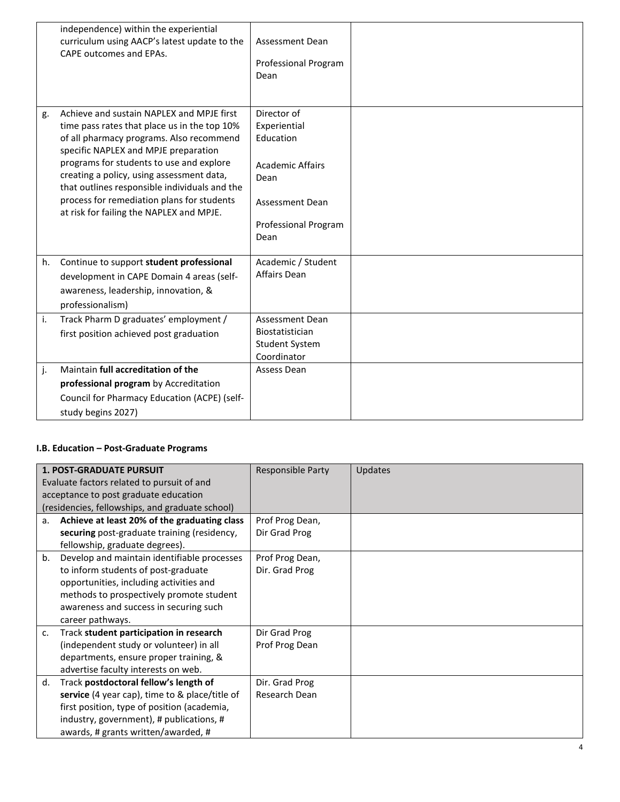|    | independence) within the experiential<br>curriculum using AACP's latest update to the<br>CAPE outcomes and EPAs.                                                                                                                                                                                                                                                                                                  | <b>Assessment Dean</b><br>Professional Program<br>Dean                                                                                |  |
|----|-------------------------------------------------------------------------------------------------------------------------------------------------------------------------------------------------------------------------------------------------------------------------------------------------------------------------------------------------------------------------------------------------------------------|---------------------------------------------------------------------------------------------------------------------------------------|--|
| g. | Achieve and sustain NAPLEX and MPJE first<br>time pass rates that place us in the top 10%<br>of all pharmacy programs. Also recommend<br>specific NAPLEX and MPJE preparation<br>programs for students to use and explore<br>creating a policy, using assessment data,<br>that outlines responsible individuals and the<br>process for remediation plans for students<br>at risk for failing the NAPLEX and MPJE. | Director of<br>Experiential<br>Education<br><b>Academic Affairs</b><br>Dean<br><b>Assessment Dean</b><br>Professional Program<br>Dean |  |
| h. | Continue to support student professional<br>development in CAPE Domain 4 areas (self-<br>awareness, leadership, innovation, &<br>professionalism)                                                                                                                                                                                                                                                                 | Academic / Student<br>Affairs Dean                                                                                                    |  |
| i. | Track Pharm D graduates' employment /<br>first position achieved post graduation                                                                                                                                                                                                                                                                                                                                  | Assessment Dean<br><b>Biostatistician</b><br><b>Student System</b><br>Coordinator                                                     |  |
| j. | Maintain full accreditation of the<br>professional program by Accreditation<br>Council for Pharmacy Education (ACPE) (self-<br>study begins 2027)                                                                                                                                                                                                                                                                 | Assess Dean                                                                                                                           |  |

## **I.B. Education – Post-Graduate Programs**

|                                       | <b>1. POST-GRADUATE PURSUIT</b>                 | <b>Responsible Party</b> | <b>Updates</b> |
|---------------------------------------|-------------------------------------------------|--------------------------|----------------|
|                                       | Evaluate factors related to pursuit of and      |                          |                |
| acceptance to post graduate education |                                                 |                          |                |
|                                       | (residencies, fellowships, and graduate school) |                          |                |
| a.                                    | Achieve at least 20% of the graduating class    | Prof Prog Dean,          |                |
|                                       | securing post-graduate training (residency,     | Dir Grad Prog            |                |
|                                       |                                                 |                          |                |
|                                       | fellowship, graduate degrees).                  |                          |                |
| b.                                    | Develop and maintain identifiable processes     | Prof Prog Dean,          |                |
|                                       | to inform students of post-graduate             | Dir. Grad Prog           |                |
|                                       | opportunities, including activities and         |                          |                |
|                                       | methods to prospectively promote student        |                          |                |
|                                       | awareness and success in securing such          |                          |                |
|                                       | career pathways.                                |                          |                |
| c.                                    | Track student participation in research         | Dir Grad Prog            |                |
|                                       | (independent study or volunteer) in all         | Prof Prog Dean           |                |
|                                       | departments, ensure proper training, &          |                          |                |
|                                       | advertise faculty interests on web.             |                          |                |
| d.                                    | Track postdoctoral fellow's length of           | Dir. Grad Prog           |                |
|                                       | service (4 year cap), time to & place/title of  | Research Dean            |                |
|                                       | first position, type of position (academia,     |                          |                |
|                                       | industry, government), # publications, #        |                          |                |
|                                       | awards, # grants written/awarded, #             |                          |                |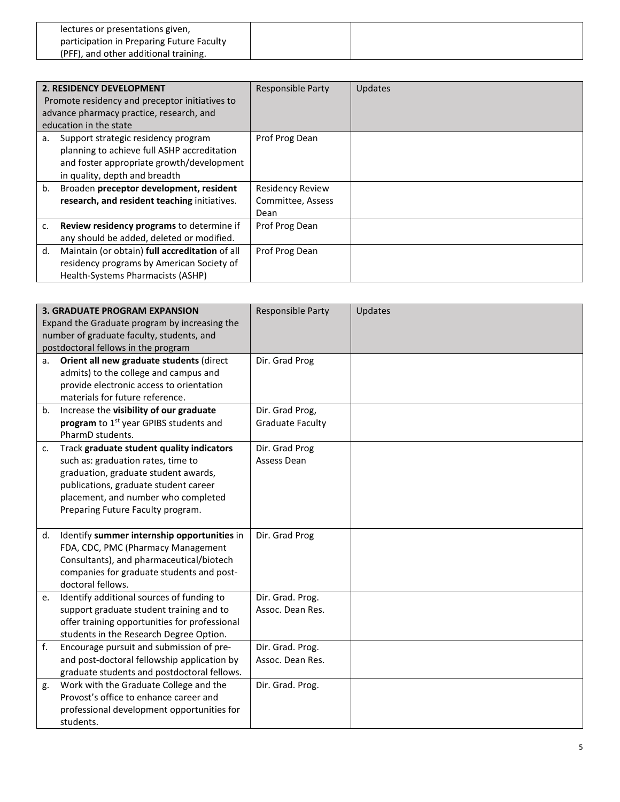| lectures or presentations given,          |  |  |
|-------------------------------------------|--|--|
| participation in Preparing Future Faculty |  |  |
| (PFF), and other additional training.     |  |  |

| <b>2. RESIDENCY DEVELOPMENT</b><br>Promote residency and preceptor initiatives to<br>advance pharmacy practice, research, and<br>education in the state |                                                                                                                                                                  | <b>Responsible Party</b> | <b>Updates</b> |
|---------------------------------------------------------------------------------------------------------------------------------------------------------|------------------------------------------------------------------------------------------------------------------------------------------------------------------|--------------------------|----------------|
| a.                                                                                                                                                      | Support strategic residency program<br>planning to achieve full ASHP accreditation<br>and foster appropriate growth/development<br>in quality, depth and breadth | Prof Prog Dean           |                |
| b.                                                                                                                                                      | Broaden preceptor development, resident                                                                                                                          | <b>Residency Review</b>  |                |
|                                                                                                                                                         | research, and resident teaching initiatives.                                                                                                                     | Committee, Assess        |                |
|                                                                                                                                                         |                                                                                                                                                                  | Dean                     |                |
| c.                                                                                                                                                      | Review residency programs to determine if<br>any should be added, deleted or modified.                                                                           | Prof Prog Dean           |                |
| d.                                                                                                                                                      | Maintain (or obtain) full accreditation of all<br>residency programs by American Society of<br>Health-Systems Pharmacists (ASHP)                                 | Prof Prog Dean           |                |

|                                                                                  | <b>3. GRADUATE PROGRAM EXPANSION</b><br>Expand the Graduate program by increasing the                                                                                                                                                        | <b>Responsible Party</b>                   | Updates |
|----------------------------------------------------------------------------------|----------------------------------------------------------------------------------------------------------------------------------------------------------------------------------------------------------------------------------------------|--------------------------------------------|---------|
| number of graduate faculty, students, and<br>postdoctoral fellows in the program |                                                                                                                                                                                                                                              |                                            |         |
| a.                                                                               | Orient all new graduate students (direct<br>admits) to the college and campus and<br>provide electronic access to orientation<br>materials for future reference.                                                                             | Dir. Grad Prog                             |         |
| b.                                                                               | Increase the visibility of our graduate<br>program to 1 <sup>st</sup> year GPIBS students and<br>PharmD students.                                                                                                                            | Dir. Grad Prog,<br><b>Graduate Faculty</b> |         |
| C.                                                                               | Track graduate student quality indicators<br>such as: graduation rates, time to<br>graduation, graduate student awards,<br>publications, graduate student career<br>placement, and number who completed<br>Preparing Future Faculty program. | Dir. Grad Prog<br>Assess Dean              |         |
| d.                                                                               | Identify summer internship opportunities in<br>FDA, CDC, PMC (Pharmacy Management<br>Consultants), and pharmaceutical/biotech<br>companies for graduate students and post-<br>doctoral fellows.                                              | Dir. Grad Prog                             |         |
| e.                                                                               | Identify additional sources of funding to<br>support graduate student training and to<br>offer training opportunities for professional<br>students in the Research Degree Option.                                                            | Dir. Grad. Prog.<br>Assoc. Dean Res.       |         |
| f.                                                                               | Encourage pursuit and submission of pre-<br>and post-doctoral fellowship application by<br>graduate students and postdoctoral fellows.                                                                                                       | Dir. Grad. Prog.<br>Assoc. Dean Res.       |         |
| g.                                                                               | Work with the Graduate College and the<br>Provost's office to enhance career and<br>professional development opportunities for<br>students.                                                                                                  | Dir. Grad. Prog.                           |         |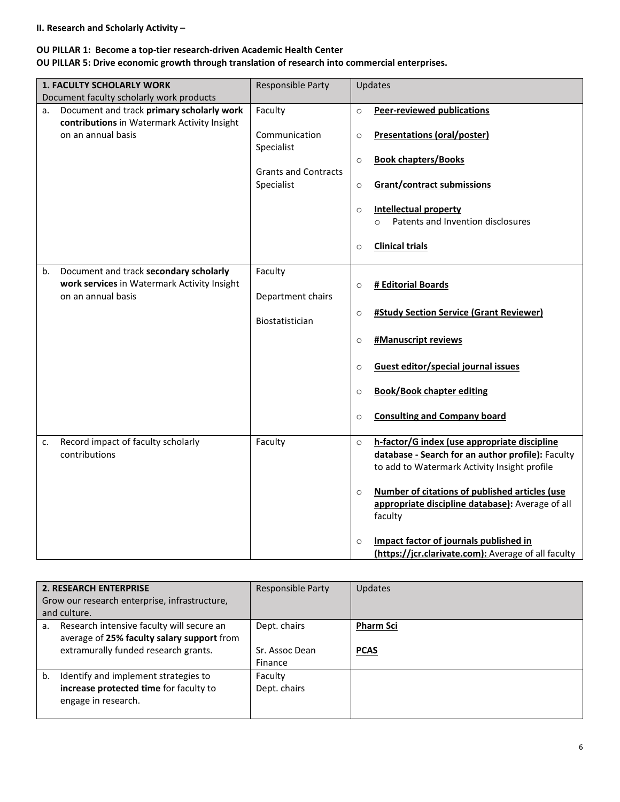## **II. Research and Scholarly Activity –**

## **OU PILLAR 1: Become a top-tier research-driven Academic Health Center**

**OU PILLAR 5: Drive economic growth through translation of research into commercial enterprises.**

|    | <b>1. FACULTY SCHOLARLY WORK</b>                                  | <b>Responsible Party</b>    |         | Updates                                             |
|----|-------------------------------------------------------------------|-----------------------------|---------|-----------------------------------------------------|
|    | Document faculty scholarly work products                          |                             |         |                                                     |
| a. | Document and track primary scholarly work                         | Faculty                     | $\circ$ | <b>Peer-reviewed publications</b>                   |
|    | contributions in Watermark Activity Insight                       |                             |         |                                                     |
|    | on an annual basis                                                | Communication               | $\circ$ | <b>Presentations (oral/poster)</b>                  |
|    |                                                                   | Specialist                  |         |                                                     |
|    |                                                                   | <b>Grants and Contracts</b> | $\circ$ | <b>Book chapters/Books</b>                          |
|    |                                                                   | Specialist                  | $\circ$ | <b>Grant/contract submissions</b>                   |
|    |                                                                   |                             |         |                                                     |
|    |                                                                   |                             | $\circ$ | <b>Intellectual property</b>                        |
|    |                                                                   |                             |         | Patents and Invention disclosures<br>$\Omega$       |
|    |                                                                   |                             |         |                                                     |
|    |                                                                   |                             | $\circ$ | <b>Clinical trials</b>                              |
|    |                                                                   |                             |         |                                                     |
| b. | Document and track secondary scholarly                            | Faculty                     |         |                                                     |
|    | work services in Watermark Activity Insight<br>on an annual basis | Department chairs           | $\circ$ | # Editorial Boards                                  |
|    |                                                                   |                             |         |                                                     |
|    |                                                                   | Biostatistician             | $\circ$ | #Study Section Service (Grant Reviewer)             |
|    |                                                                   |                             |         |                                                     |
|    |                                                                   |                             | $\circ$ | <b>#Manuscript reviews</b>                          |
|    |                                                                   |                             | $\circ$ | Guest editor/special journal issues                 |
|    |                                                                   |                             |         |                                                     |
|    |                                                                   |                             | $\circ$ | <b>Book/Book chapter editing</b>                    |
|    |                                                                   |                             |         |                                                     |
|    |                                                                   |                             | $\circ$ | <b>Consulting and Company board</b>                 |
|    |                                                                   |                             |         |                                                     |
| c. | Record impact of faculty scholarly                                | Faculty                     | $\circ$ | h-factor/G index (use appropriate discipline        |
|    | contributions                                                     |                             |         | database - Search for an author profile): Faculty   |
|    |                                                                   |                             |         | to add to Watermark Activity Insight profile        |
|    |                                                                   |                             | $\circ$ | Number of citations of published articles (use      |
|    |                                                                   |                             |         | appropriate discipline database): Average of all    |
|    |                                                                   |                             |         | faculty                                             |
|    |                                                                   |                             |         |                                                     |
|    |                                                                   |                             | $\circ$ | <b>Impact factor of journals published in</b>       |
|    |                                                                   |                             |         | (https://jcr.clarivate.com): Average of all faculty |

| <b>2. RESEARCH ENTERPRISE</b>                 |                                                                                         | <b>Responsible Party</b> | <b>Updates</b>   |
|-----------------------------------------------|-----------------------------------------------------------------------------------------|--------------------------|------------------|
| Grow our research enterprise, infrastructure, |                                                                                         |                          |                  |
| and culture.                                  |                                                                                         |                          |                  |
| a.                                            | Research intensive faculty will secure an<br>average of 25% faculty salary support from | Dept. chairs             | <b>Pharm Sci</b> |
|                                               | extramurally funded research grants.                                                    | Sr. Assoc Dean           | <b>PCAS</b>      |
|                                               |                                                                                         | Finance                  |                  |
| b.                                            | Identify and implement strategies to                                                    | Faculty                  |                  |
|                                               | increase protected time for faculty to<br>engage in research.                           | Dept. chairs             |                  |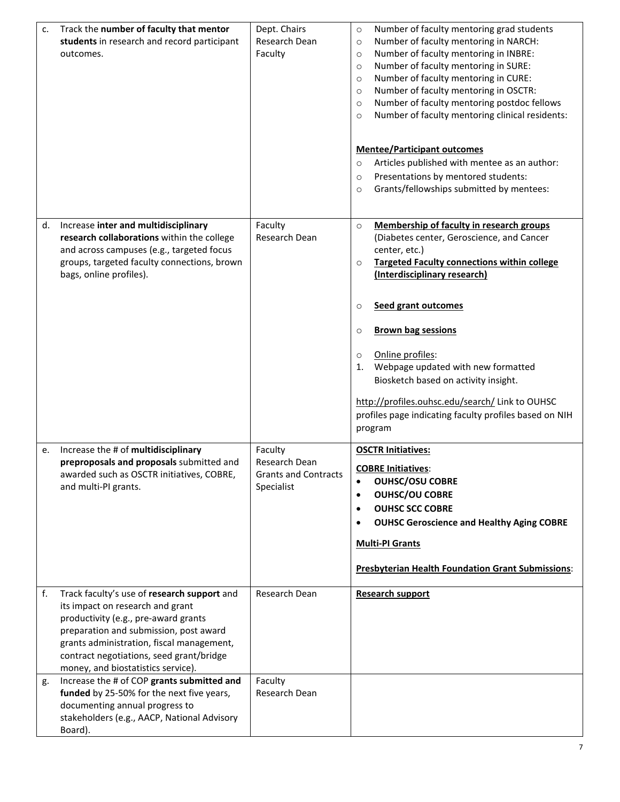| c. | Track the number of faculty that mentor<br>students in research and record participant<br>outcomes.                                                                                                                                                                                              | Dept. Chairs<br>Research Dean<br>Faculty                              | Number of faculty mentoring grad students<br>$\circ$<br>Number of faculty mentoring in NARCH:<br>$\circ$<br>Number of faculty mentoring in INBRE:<br>$\circ$<br>Number of faculty mentoring in SURE:<br>$\circ$<br>Number of faculty mentoring in CURE:<br>$\circ$<br>Number of faculty mentoring in OSCTR:<br>$\circ$<br>Number of faculty mentoring postdoc fellows<br>$\circ$<br>Number of faculty mentoring clinical residents:<br>$\circ$<br><b>Mentee/Participant outcomes</b><br>Articles published with mentee as an author:<br>$\circ$<br>Presentations by mentored students:<br>$\circ$<br>Grants/fellowships submitted by mentees:<br>$\circ$ |
|----|--------------------------------------------------------------------------------------------------------------------------------------------------------------------------------------------------------------------------------------------------------------------------------------------------|-----------------------------------------------------------------------|----------------------------------------------------------------------------------------------------------------------------------------------------------------------------------------------------------------------------------------------------------------------------------------------------------------------------------------------------------------------------------------------------------------------------------------------------------------------------------------------------------------------------------------------------------------------------------------------------------------------------------------------------------|
| d. | Increase inter and multidisciplinary<br>research collaborations within the college<br>and across campuses (e.g., targeted focus<br>groups, targeted faculty connections, brown<br>bags, online profiles).                                                                                        | Faculty<br>Research Dean                                              | Membership of faculty in research groups<br>$\circ$<br>(Diabetes center, Geroscience, and Cancer<br>center, etc.)<br><b>Targeted Faculty connections within college</b><br>$\circ$<br>(Interdisciplinary research)<br>Seed grant outcomes<br>$\circ$<br><b>Brown bag sessions</b><br>$\circ$<br>Online profiles:<br>$\circ$<br>Webpage updated with new formatted<br>1.<br>Biosketch based on activity insight.<br>http://profiles.ouhsc.edu/search/ Link to OUHSC<br>profiles page indicating faculty profiles based on NIH<br>program                                                                                                                  |
| e. | Increase the # of multidisciplinary<br>preproposals and proposals submitted and<br>awarded such as OSCTR initiatives, COBRE,<br>and multi-PI grants.                                                                                                                                             | Faculty<br>Research Dean<br><b>Grants and Contracts</b><br>Specialist | <b>OSCTR Initiatives:</b><br><b>COBRE Initiatives:</b><br><b>OUHSC/OSU COBRE</b><br><b>OUHSC/OU COBRE</b><br><b>OUHSC SCC COBRE</b><br><b>OUHSC Geroscience and Healthy Aging COBRE</b><br><b>Multi-PI Grants</b><br><b>Presbyterian Health Foundation Grant Submissions:</b>                                                                                                                                                                                                                                                                                                                                                                            |
| f. | Track faculty's use of research support and<br>its impact on research and grant<br>productivity (e.g., pre-award grants<br>preparation and submission, post award<br>grants administration, fiscal management,<br>contract negotiations, seed grant/bridge<br>money, and biostatistics service). | Research Dean                                                         | <b>Research support</b>                                                                                                                                                                                                                                                                                                                                                                                                                                                                                                                                                                                                                                  |
| g. | Increase the # of COP grants submitted and<br>funded by 25-50% for the next five years,<br>documenting annual progress to<br>stakeholders (e.g., AACP, National Advisory<br>Board).                                                                                                              | Faculty<br>Research Dean                                              |                                                                                                                                                                                                                                                                                                                                                                                                                                                                                                                                                                                                                                                          |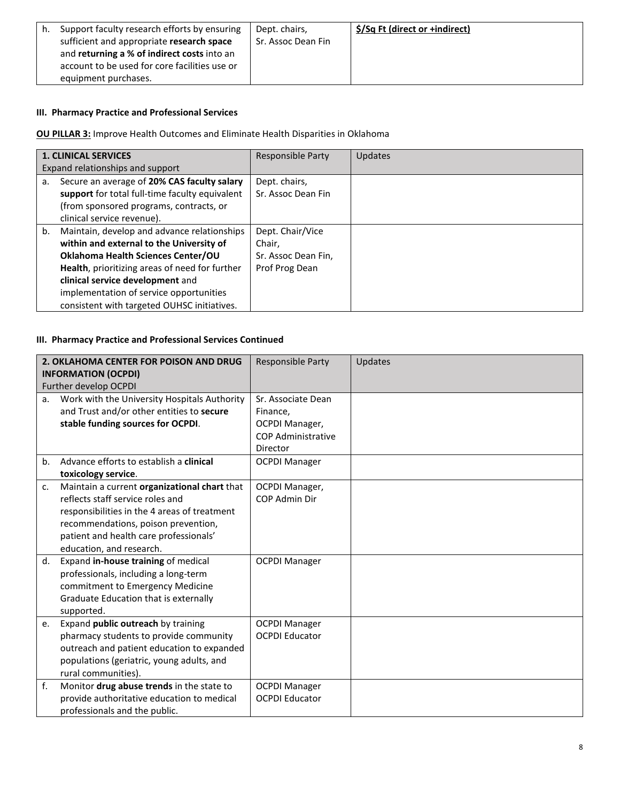|  | Support faculty research efforts by ensuring<br>sufficient and appropriate research space<br>and returning a % of indirect costs into an<br>account to be used for core facilities use or<br>equipment purchases. | Dept. chairs,<br>Sr. Assoc Dean Fin | \$/Sq Ft (direct or +indirect) |
|--|-------------------------------------------------------------------------------------------------------------------------------------------------------------------------------------------------------------------|-------------------------------------|--------------------------------|
|--|-------------------------------------------------------------------------------------------------------------------------------------------------------------------------------------------------------------------|-------------------------------------|--------------------------------|

## **III. Pharmacy Practice and Professional Services**

**OU PILLAR 3:** Improve Health Outcomes and Eliminate Health Disparities in Oklahoma

|                                  | <b>1. CLINICAL SERVICES</b>                    | <b>Responsible Party</b> | Updates |
|----------------------------------|------------------------------------------------|--------------------------|---------|
| Expand relationships and support |                                                |                          |         |
| a.                               | Secure an average of 20% CAS faculty salary    | Dept. chairs,            |         |
|                                  | support for total full-time faculty equivalent | Sr. Assoc Dean Fin       |         |
|                                  | (from sponsored programs, contracts, or        |                          |         |
|                                  | clinical service revenue).                     |                          |         |
| b.                               | Maintain, develop and advance relationships    | Dept. Chair/Vice         |         |
|                                  | within and external to the University of       | Chair,                   |         |
|                                  | <b>Oklahoma Health Sciences Center/OU</b>      | Sr. Assoc Dean Fin,      |         |
|                                  | Health, prioritizing areas of need for further | Prof Prog Dean           |         |
|                                  | clinical service development and               |                          |         |
|                                  | implementation of service opportunities        |                          |         |
|                                  | consistent with targeted OUHSC initiatives.    |                          |         |

# **III. Pharmacy Practice and Professional Services Continued**

| 2. OKLAHOMA CENTER FOR POISON AND DRUG<br><b>INFORMATION (OCPDI)</b><br>Further develop OCPDI |                                                                                                                                                                                                                                               | <b>Responsible Party</b>                                                                  | Updates |
|-----------------------------------------------------------------------------------------------|-----------------------------------------------------------------------------------------------------------------------------------------------------------------------------------------------------------------------------------------------|-------------------------------------------------------------------------------------------|---------|
| a.                                                                                            | Work with the University Hospitals Authority<br>and Trust and/or other entities to secure<br>stable funding sources for OCPDI.                                                                                                                | Sr. Associate Dean<br>Finance,<br>OCPDI Manager,<br><b>COP Administrative</b><br>Director |         |
| b.                                                                                            | Advance efforts to establish a clinical<br>toxicology service.                                                                                                                                                                                | <b>OCPDI Manager</b>                                                                      |         |
| c.                                                                                            | Maintain a current organizational chart that<br>reflects staff service roles and<br>responsibilities in the 4 areas of treatment<br>recommendations, poison prevention,<br>patient and health care professionals'<br>education, and research. | OCPDI Manager,<br>COP Admin Dir                                                           |         |
| d.                                                                                            | Expand in-house training of medical<br>professionals, including a long-term<br>commitment to Emergency Medicine<br>Graduate Education that is externally<br>supported.                                                                        | <b>OCPDI Manager</b>                                                                      |         |
| e.                                                                                            | Expand public outreach by training<br>pharmacy students to provide community<br>outreach and patient education to expanded<br>populations (geriatric, young adults, and<br>rural communities).                                                | <b>OCPDI Manager</b><br><b>OCPDI Educator</b>                                             |         |
| f.                                                                                            | Monitor drug abuse trends in the state to<br>provide authoritative education to medical<br>professionals and the public.                                                                                                                      | <b>OCPDI Manager</b><br><b>OCPDI Educator</b>                                             |         |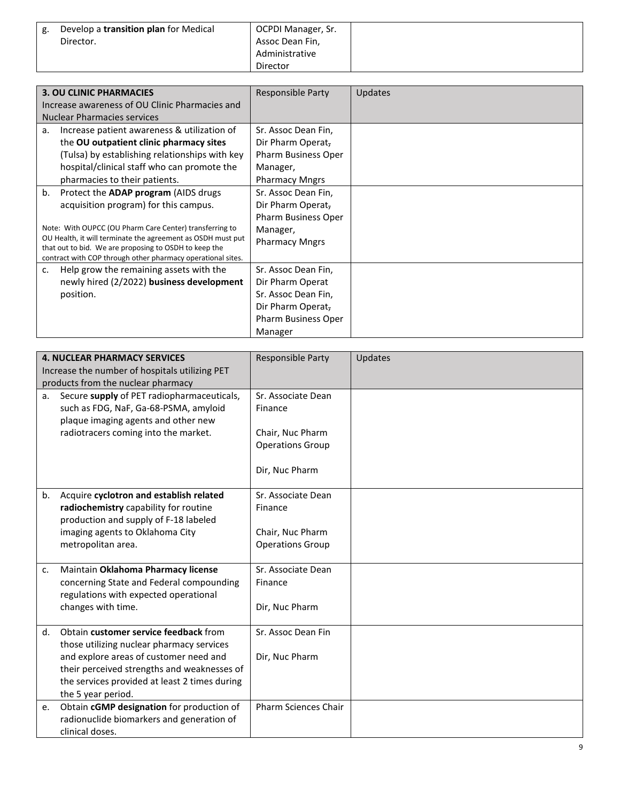| Develop a <b>transition plan</b> for Medical | OCPDI Manager, Sr. |  |
|----------------------------------------------|--------------------|--|
| Director.                                    | Assoc Dean Fin,    |  |
|                                              | Administrative     |  |
|                                              | Director           |  |

| <b>3. OU CLINIC PHARMACIES</b>                                                                                       | Responsible Party          | <b>Updates</b> |
|----------------------------------------------------------------------------------------------------------------------|----------------------------|----------------|
| Increase awareness of OU Clinic Pharmacies and                                                                       |                            |                |
| <b>Nuclear Pharmacies services</b>                                                                                   |                            |                |
| Increase patient awareness & utilization of<br>a.                                                                    | Sr. Assoc Dean Fin,        |                |
| the OU outpatient clinic pharmacy sites                                                                              | Dir Pharm Operat,          |                |
| (Tulsa) by establishing relationships with key                                                                       | <b>Pharm Business Oper</b> |                |
| hospital/clinical staff who can promote the                                                                          | Manager,                   |                |
| pharmacies to their patients.                                                                                        | <b>Pharmacy Mngrs</b>      |                |
| Protect the <b>ADAP program</b> (AIDS drugs<br>b.                                                                    | Sr. Assoc Dean Fin,        |                |
| acquisition program) for this campus.                                                                                | Dir Pharm Operat,          |                |
|                                                                                                                      | <b>Pharm Business Oper</b> |                |
| Note: With OUPCC (OU Pharm Care Center) transferring to                                                              | Manager,                   |                |
| OU Health, it will terminate the agreement as OSDH must put                                                          | <b>Pharmacy Mngrs</b>      |                |
| that out to bid. We are proposing to OSDH to keep the<br>contract with COP through other pharmacy operational sites. |                            |                |
| Help grow the remaining assets with the<br>c.                                                                        | Sr. Assoc Dean Fin,        |                |
| newly hired (2/2022) business development                                                                            | Dir Pharm Operat           |                |
| position.                                                                                                            | Sr. Assoc Dean Fin,        |                |
|                                                                                                                      | Dir Pharm Operat,          |                |
|                                                                                                                      | Pharm Business Oper        |                |
|                                                                                                                      | Manager                    |                |

|             | <b>4. NUCLEAR PHARMACY SERVICES</b>            | Responsible Party             | Updates |
|-------------|------------------------------------------------|-------------------------------|---------|
|             | Increase the number of hospitals utilizing PET |                               |         |
|             | products from the nuclear pharmacy             |                               |         |
|             |                                                |                               |         |
| a.          | Secure supply of PET radiopharmaceuticals,     | Sr. Associate Dean<br>Finance |         |
|             | such as FDG, NaF, Ga-68-PSMA, amyloid          |                               |         |
|             | plaque imaging agents and other new            |                               |         |
|             | radiotracers coming into the market.           | Chair, Nuc Pharm              |         |
|             |                                                | <b>Operations Group</b>       |         |
|             |                                                |                               |         |
|             |                                                | Dir, Nuc Pharm                |         |
| b.          | Acquire cyclotron and establish related        | Sr. Associate Dean            |         |
|             | radiochemistry capability for routine          | Finance                       |         |
|             | production and supply of F-18 labeled          |                               |         |
|             | imaging agents to Oklahoma City                | Chair, Nuc Pharm              |         |
|             | metropolitan area.                             | <b>Operations Group</b>       |         |
|             |                                                |                               |         |
| c.          | Maintain Oklahoma Pharmacy license             | Sr. Associate Dean            |         |
|             | concerning State and Federal compounding       | Finance                       |         |
|             | regulations with expected operational          |                               |         |
|             | changes with time.                             | Dir, Nuc Pharm                |         |
|             |                                                |                               |         |
| $d_{\cdot}$ | Obtain customer service feedback from          | Sr. Assoc Dean Fin            |         |
|             | those utilizing nuclear pharmacy services      |                               |         |
|             | and explore areas of customer need and         | Dir, Nuc Pharm                |         |
|             | their perceived strengths and weaknesses of    |                               |         |
|             | the services provided at least 2 times during  |                               |         |
|             | the 5 year period.                             |                               |         |
| e.          | Obtain cGMP designation for production of      | <b>Pharm Sciences Chair</b>   |         |
|             | radionuclide biomarkers and generation of      |                               |         |
|             | clinical doses.                                |                               |         |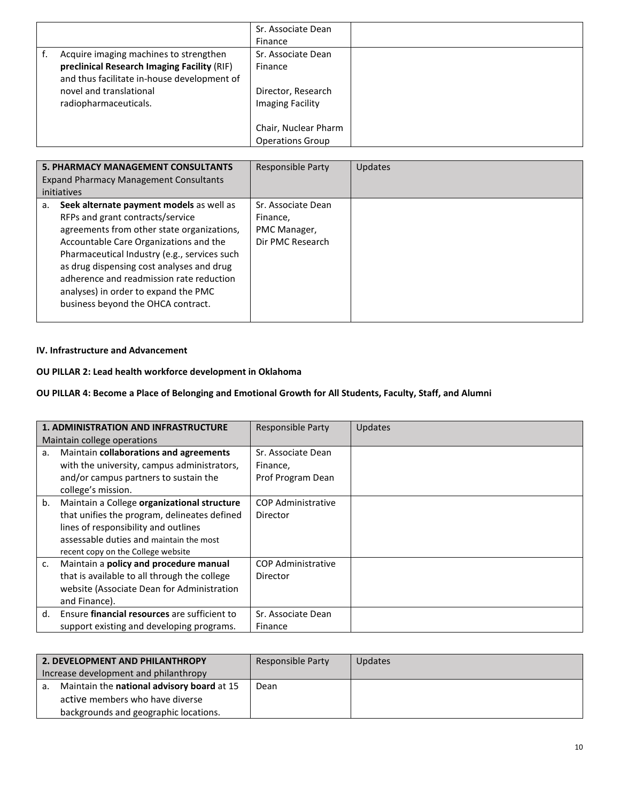|                                             | Sr. Associate Dean      |  |
|---------------------------------------------|-------------------------|--|
|                                             | Finance                 |  |
| Acquire imaging machines to strengthen      | Sr. Associate Dean      |  |
| preclinical Research Imaging Facility (RIF) | Finance                 |  |
| and thus facilitate in-house development of |                         |  |
| novel and translational                     | Director, Research      |  |
| radiopharmaceuticals.                       | Imaging Facility        |  |
|                                             |                         |  |
|                                             | Chair, Nuclear Pharm    |  |
|                                             | <b>Operations Group</b> |  |

|                                               | <b>5. PHARMACY MANAGEMENT CONSULTANTS</b>    | <b>Responsible Party</b> | Updates |  |
|-----------------------------------------------|----------------------------------------------|--------------------------|---------|--|
| <b>Expand Pharmacy Management Consultants</b> |                                              |                          |         |  |
| initiatives                                   |                                              |                          |         |  |
| a.                                            | Seek alternate payment models as well as     | Sr. Associate Dean       |         |  |
|                                               | RFPs and grant contracts/service             | Finance,                 |         |  |
|                                               | agreements from other state organizations,   | PMC Manager,             |         |  |
|                                               | Accountable Care Organizations and the       | Dir PMC Research         |         |  |
|                                               | Pharmaceutical Industry (e.g., services such |                          |         |  |
|                                               | as drug dispensing cost analyses and drug    |                          |         |  |
|                                               | adherence and readmission rate reduction     |                          |         |  |
|                                               | analyses) in order to expand the PMC         |                          |         |  |
|                                               | business beyond the OHCA contract.           |                          |         |  |
|                                               |                                              |                          |         |  |

## **IV. Infrastructure and Advancement**

#### **OU PILLAR 2: Lead health workforce development in Oklahoma**

#### **OU PILLAR 4: Become a Place of Belonging and Emotional Growth for All Students, Faculty, Staff, and Alumni**

|                             | <b>1. ADMINISTRATION AND INFRASTRUCTURE</b>  | Responsible Party         | Updates |
|-----------------------------|----------------------------------------------|---------------------------|---------|
| Maintain college operations |                                              |                           |         |
| a.                          | Maintain collaborations and agreements       | Sr. Associate Dean        |         |
|                             | with the university, campus administrators,  | Finance,                  |         |
|                             | and/or campus partners to sustain the        | Prof Program Dean         |         |
|                             | college's mission.                           |                           |         |
| b.                          | Maintain a College organizational structure  | <b>COP Administrative</b> |         |
|                             | that unifies the program, delineates defined | Director                  |         |
|                             | lines of responsibility and outlines         |                           |         |
|                             | assessable duties and maintain the most      |                           |         |
|                             | recent copy on the College website           |                           |         |
| c.                          | Maintain a policy and procedure manual       | <b>COP Administrative</b> |         |
|                             | that is available to all through the college | Director                  |         |
|                             | website (Associate Dean for Administration   |                           |         |
|                             | and Finance).                                |                           |         |
| d.                          | Ensure financial resources are sufficient to | Sr. Associate Dean        |         |
|                             | support existing and developing programs.    | Finance                   |         |

| 2. DEVELOPMENT AND PHILANTHROPY |                                            | Responsible Party | <b>Updates</b> |
|---------------------------------|--------------------------------------------|-------------------|----------------|
|                                 | Increase development and philanthropy      |                   |                |
| a.                              | Maintain the national advisory board at 15 | Dean              |                |
|                                 | active members who have diverse            |                   |                |
|                                 | backgrounds and geographic locations.      |                   |                |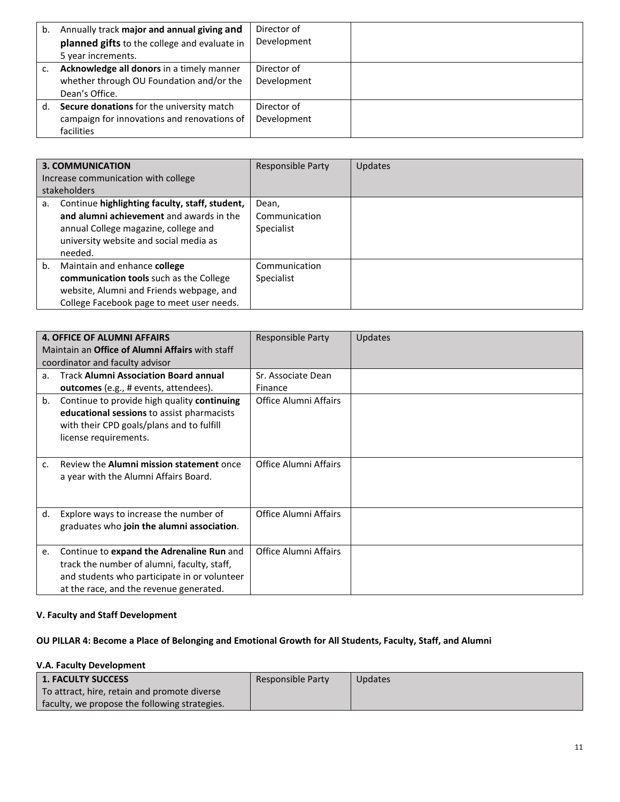| b. | Annually track major and annual giving and   | Director of |  |
|----|----------------------------------------------|-------------|--|
|    | planned gifts to the college and evaluate in | Development |  |
|    | 5 year increments.                           |             |  |
|    | Acknowledge all donors in a timely manner    | Director of |  |
|    | whether through OU Foundation and/or the     | Development |  |
|    | Dean's Office.                               |             |  |
| d. | Secure donations for the university match    | Director of |  |
|    | campaign for innovations and renovations of  | Development |  |
|    | facilities                                   |             |  |

|                                     | <b>3. COMMUNICATION</b>                        | <b>Responsible Party</b> | Updates |
|-------------------------------------|------------------------------------------------|--------------------------|---------|
| Increase communication with college |                                                |                          |         |
| stakeholders                        |                                                |                          |         |
| a.                                  | Continue highlighting faculty, staff, student, | Dean,                    |         |
|                                     | and alumni achievement and awards in the       | Communication            |         |
|                                     | annual College magazine, college and           | Specialist               |         |
|                                     | university website and social media as         |                          |         |
|                                     | needed.                                        |                          |         |
| b.                                  | Maintain and enhance college                   | Communication            |         |
|                                     | communication tools such as the College        | Specialist               |         |
|                                     | website, Alumni and Friends webpage, and       |                          |         |
|                                     | College Facebook page to meet user needs.      |                          |         |

| <b>4. OFFICE OF ALUMNI AFFAIRS</b><br>Maintain an <b>Office of Alumni Affairs</b> with staff<br>coordinator and faculty advisor |                                                                                                                                                                                     | <b>Responsible Party</b> | Updates |
|---------------------------------------------------------------------------------------------------------------------------------|-------------------------------------------------------------------------------------------------------------------------------------------------------------------------------------|--------------------------|---------|
| a <sub>z</sub>                                                                                                                  | <b>Track Alumni Association Board annual</b>                                                                                                                                        | Sr. Associate Dean       |         |
|                                                                                                                                 | outcomes (e.g., # events, attendees).                                                                                                                                               | Finance                  |         |
| b.                                                                                                                              | Continue to provide high quality continuing<br>educational sessions to assist pharmacists<br>with their CPD goals/plans and to fulfill<br>license requirements.                     | Office Alumni Affairs    |         |
| $C_{r}$                                                                                                                         | Review the <b>Alumni mission statement</b> once<br>a year with the Alumni Affairs Board.                                                                                            | Office Alumni Affairs    |         |
| d.                                                                                                                              | Explore ways to increase the number of<br>graduates who join the alumni association.                                                                                                | Office Alumni Affairs    |         |
| e.                                                                                                                              | Continue to expand the Adrenaline Run and<br>track the number of alumni, faculty, staff,<br>and students who participate in or volunteer<br>at the race, and the revenue generated. | Office Alumni Affairs    |         |

# **V. Faculty and Staff Development**

# **OU PILLAR 4: Become a Place of Belonging and Emotional Growth for All Students, Faculty, Staff, and Alumni**

# **V.A. Faculty Development**

| L1. FACULTY SUCCESS                           | Responsible Party | <b>Updates</b> |
|-----------------------------------------------|-------------------|----------------|
| To attract, hire, retain and promote diverse  |                   |                |
| faculty, we propose the following strategies. |                   |                |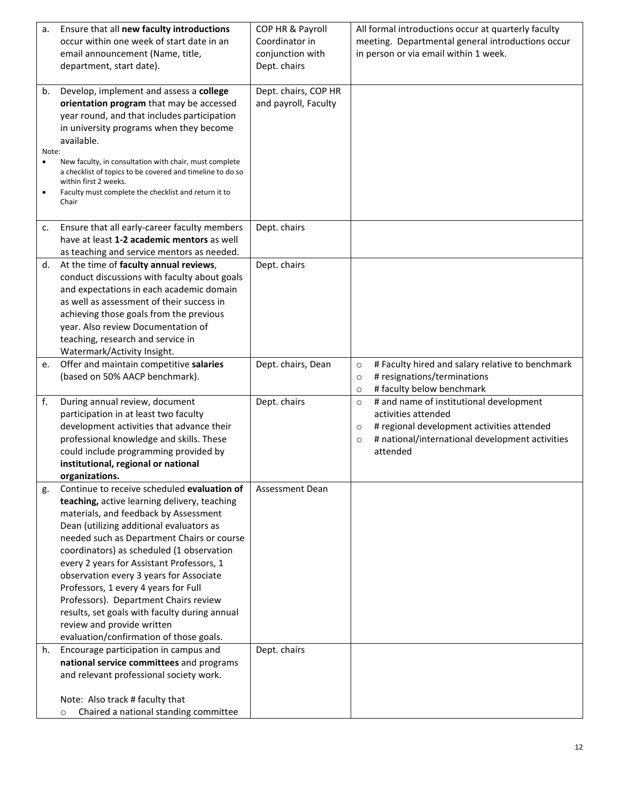| a.        | Ensure that all new faculty introductions                                                                           | COP HR & Payroll     | All formal introductions occur at quarterly faculty                                        |
|-----------|---------------------------------------------------------------------------------------------------------------------|----------------------|--------------------------------------------------------------------------------------------|
|           | occur within one week of start date in an                                                                           | Coordinator in       | meeting. Departmental general introductions occur                                          |
|           | email announcement (Name, title,                                                                                    | conjunction with     | in person or via email within 1 week.                                                      |
|           | department, start date).                                                                                            | Dept. chairs         |                                                                                            |
| b.        | Develop, implement and assess a college                                                                             | Dept. chairs, COP HR |                                                                                            |
|           | orientation program that may be accessed                                                                            | and payroll, Faculty |                                                                                            |
|           | year round, and that includes participation                                                                         |                      |                                                                                            |
|           | in university programs when they become                                                                             |                      |                                                                                            |
|           | available.                                                                                                          |                      |                                                                                            |
| Note:     |                                                                                                                     |                      |                                                                                            |
| $\bullet$ | New faculty, in consultation with chair, must complete<br>a checklist of topics to be covered and timeline to do so |                      |                                                                                            |
|           | within first 2 weeks.                                                                                               |                      |                                                                                            |
| ٠         | Faculty must complete the checklist and return it to                                                                |                      |                                                                                            |
|           | Chair                                                                                                               |                      |                                                                                            |
| c.        | Ensure that all early-career faculty members                                                                        | Dept. chairs         |                                                                                            |
|           | have at least 1-2 academic mentors as well                                                                          |                      |                                                                                            |
|           | as teaching and service mentors as needed.                                                                          |                      |                                                                                            |
| d.        | At the time of faculty annual reviews,                                                                              | Dept. chairs         |                                                                                            |
|           | conduct discussions with faculty about goals                                                                        |                      |                                                                                            |
|           | and expectations in each academic domain                                                                            |                      |                                                                                            |
|           | as well as assessment of their success in                                                                           |                      |                                                                                            |
|           | achieving those goals from the previous                                                                             |                      |                                                                                            |
|           | year. Also review Documentation of                                                                                  |                      |                                                                                            |
|           | teaching, research and service in                                                                                   |                      |                                                                                            |
|           | Watermark/Activity Insight.                                                                                         |                      |                                                                                            |
| e.        | Offer and maintain competitive salaries                                                                             | Dept. chairs, Dean   | # Faculty hired and salary relative to benchmark<br>$\circ$                                |
|           | (based on 50% AACP benchmark).                                                                                      |                      | # resignations/terminations<br>$\circ$                                                     |
| f.        | During annual review, document                                                                                      | Dept. chairs         | # faculty below benchmark<br>$\circ$<br># and name of institutional development<br>$\circ$ |
|           | participation in at least two faculty                                                                               |                      | activities attended                                                                        |
|           | development activities that advance their                                                                           |                      | # regional development activities attended<br>$\circ$                                      |
|           | professional knowledge and skills. These                                                                            |                      | # national/international development activities<br>$\circ$                                 |
|           | could include programming provided by                                                                               |                      | attended                                                                                   |
|           | institutional, regional or national                                                                                 |                      |                                                                                            |
|           | organizations.                                                                                                      |                      |                                                                                            |
| g.        | Continue to receive scheduled evaluation of                                                                         | Assessment Dean      |                                                                                            |
|           | teaching, active learning delivery, teaching                                                                        |                      |                                                                                            |
|           | materials, and feedback by Assessment                                                                               |                      |                                                                                            |
|           | Dean (utilizing additional evaluators as                                                                            |                      |                                                                                            |
|           | needed such as Department Chairs or course<br>coordinators) as scheduled (1 observation                             |                      |                                                                                            |
|           | every 2 years for Assistant Professors, 1                                                                           |                      |                                                                                            |
|           | observation every 3 years for Associate                                                                             |                      |                                                                                            |
|           | Professors, 1 every 4 years for Full                                                                                |                      |                                                                                            |
|           | Professors). Department Chairs review                                                                               |                      |                                                                                            |
|           | results, set goals with faculty during annual                                                                       |                      |                                                                                            |
|           | review and provide written                                                                                          |                      |                                                                                            |
|           | evaluation/confirmation of those goals.                                                                             |                      |                                                                                            |
| h.        | Encourage participation in campus and                                                                               | Dept. chairs         |                                                                                            |
|           | national service committees and programs                                                                            |                      |                                                                                            |
|           | and relevant professional society work.                                                                             |                      |                                                                                            |
|           | Note: Also track # faculty that                                                                                     |                      |                                                                                            |
|           | Chaired a national standing committee<br>$\circ$                                                                    |                      |                                                                                            |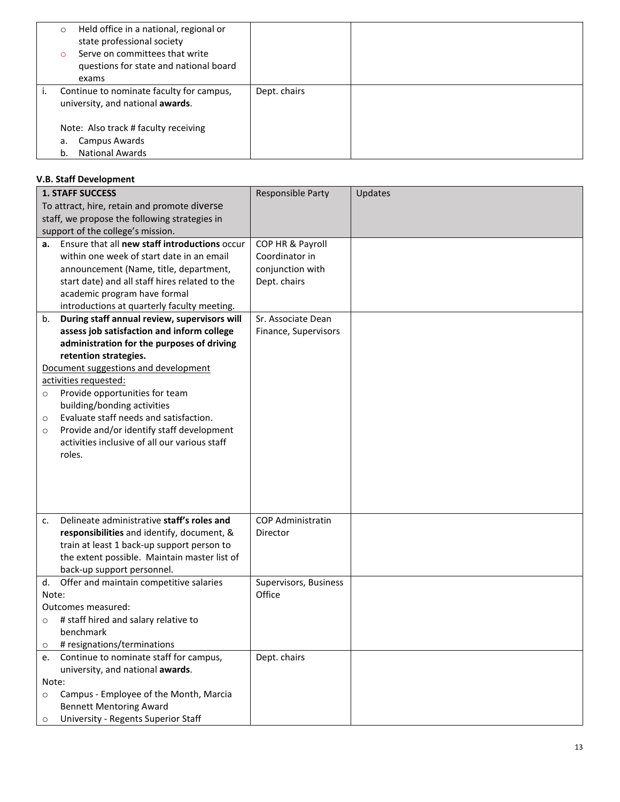| Held office in a national, regional or<br>$\circ$<br>state professional society<br>Serve on committees that write<br>$\circ$<br>questions for state and national board<br>exams |              |  |
|---------------------------------------------------------------------------------------------------------------------------------------------------------------------------------|--------------|--|
| Continue to nominate faculty for campus,<br>university, and national awards.<br>Note: Also track # faculty receiving                                                            | Dept. chairs |  |
|                                                                                                                                                                                 |              |  |
| Campus Awards<br>a.                                                                                                                                                             |              |  |
| <b>National Awards</b><br>b.                                                                                                                                                    |              |  |

# **V.B. Staff Development**

| <b>1. STAFF SUCCESS</b>                       |                                                  | Responsible Party        | Updates |
|-----------------------------------------------|--------------------------------------------------|--------------------------|---------|
| To attract, hire, retain and promote diverse  |                                                  |                          |         |
| staff, we propose the following strategies in |                                                  |                          |         |
|                                               | support of the college's mission.                |                          |         |
|                                               | a. Ensure that all new staff introductions occur | COP HR & Payroll         |         |
|                                               | within one week of start date in an email        | Coordinator in           |         |
|                                               | announcement (Name, title, department,           | conjunction with         |         |
|                                               | start date) and all staff hires related to the   | Dept. chairs             |         |
|                                               | academic program have formal                     |                          |         |
|                                               | introductions at quarterly faculty meeting.      |                          |         |
| b.                                            | During staff annual review, supervisors will     | Sr. Associate Dean       |         |
|                                               | assess job satisfaction and inform college       | Finance, Supervisors     |         |
|                                               | administration for the purposes of driving       |                          |         |
|                                               | retention strategies.                            |                          |         |
|                                               | Document suggestions and development             |                          |         |
|                                               | activities requested:                            |                          |         |
| $\circ$                                       | Provide opportunities for team                   |                          |         |
|                                               | building/bonding activities                      |                          |         |
| $\circ$                                       | Evaluate staff needs and satisfaction.           |                          |         |
| $\circ$                                       | Provide and/or identify staff development        |                          |         |
|                                               | activities inclusive of all our various staff    |                          |         |
|                                               | roles.                                           |                          |         |
|                                               |                                                  |                          |         |
|                                               |                                                  |                          |         |
|                                               |                                                  |                          |         |
|                                               |                                                  |                          |         |
| c.                                            | Delineate administrative staff's roles and       | <b>COP Administratin</b> |         |
|                                               | responsibilities and identify, document, &       | <b>Director</b>          |         |
|                                               | train at least 1 back-up support person to       |                          |         |
|                                               | the extent possible. Maintain master list of     |                          |         |
|                                               | back-up support personnel.                       |                          |         |
|                                               | d. Offer and maintain competitive salaries       | Supervisors, Business    |         |
| Note:                                         |                                                  | Office                   |         |
|                                               | Outcomes measured:                               |                          |         |
| $\circ$                                       | # staff hired and salary relative to             |                          |         |
|                                               | benchmark                                        |                          |         |
| O                                             | # resignations/terminations                      |                          |         |
| e.                                            | Continue to nominate staff for campus,           | Dept. chairs             |         |
|                                               | university, and national awards.                 |                          |         |
| Note:                                         |                                                  |                          |         |
| $\circ$                                       | Campus - Employee of the Month, Marcia           |                          |         |
|                                               | <b>Bennett Mentoring Award</b>                   |                          |         |
| $\circ$                                       | University - Regents Superior Staff              |                          |         |